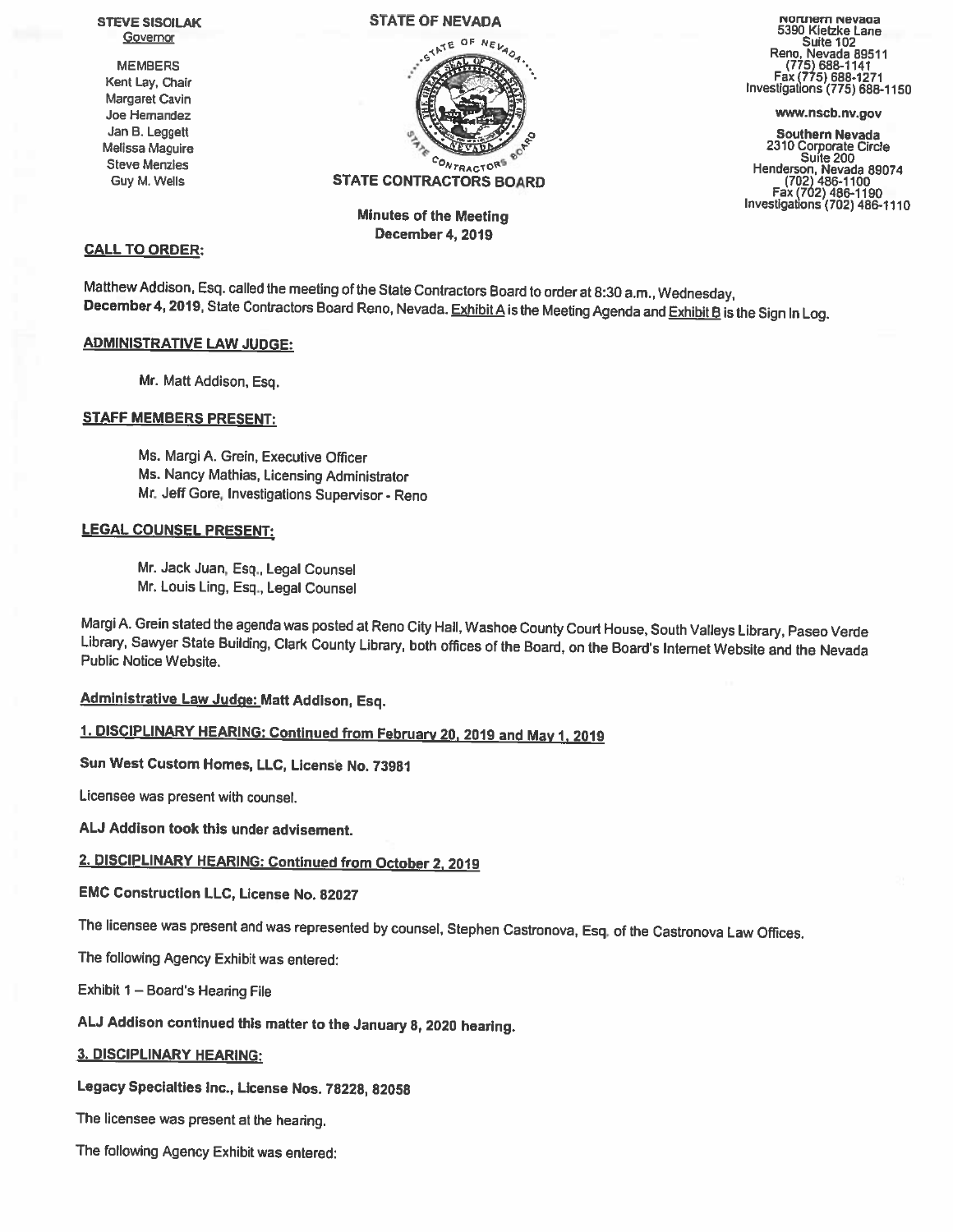

December 4, 2019

# CALL TO ORDER:

Matthew Addison, Esq. called the meeting of the State Contractors Board to order at 8:30 a.m., Wednesday,<br>December 4, 2019, State Contractors Board Reno, Nevada. Exhibit A is the Meeting Agenda and Exhibit B is the Sign In

# ADMINISTRATIVE LAW JUDGE:

Mr. Matt Addison, Esq.

# STAFF MEMBERS PRESENT:

Ms. Margi A. Grein, Executive Officer Ms. Nancy Mathias, Licensing Administrator Mr. Jeff Gore, Investigations Supervisor - Reno

# LEGAL COUNSEL PRESENT:

Mr. Jack Juan, Esq., Legal Counsel Mr. Louis Ling. Esq., Legal Counsel

Margi A. Grein stated the agenda was posted at Reno City Hall, Washoe County Court House, South Valleys Library, Paseo Verde<br>Library, Sawyer State Building, Clark County Library, both offices of the Board, on the Board's I

**Administrative Law Judge: Matt Addison, Esq.** 

# 1. DISCIPLINARY HEARING: Continued from February 20, <sup>2019</sup> and May 1, <sup>2019</sup>

Sun West Custom Homes, LLC, License No. 73981

Licensee was present with counsel.

AU Addison took this under adyisement.

# 2. DISCIPLINARY HEARING: Continued from October 2, <sup>2019</sup>

EMC Construction LLC, License No. 82027

The licensee was present and was represented by counsel. Stephen Castronova, Esq. of the Castronova Law Offices.

The following Agency Exhibit was entered:

Exhibit <sup>1</sup> — Board's Hearing File

AU Addison continued this matter to the January 8, <sup>2020</sup> hearing.

# 3. DISCIPLINARY HEARING:

Legacy Specialties Inc., License Nos. 78228, 82058

The licensee was present at the hearing.

The following Agency Exhibit was entered:

STEVE SISOILAK STATE OF NEVADA NOTIFIEM NEVAUS NEWSLAME STATE OF NEVADA NANNER STATE OF NEVADA STATE OF NEVAULA<br>Governor Suite 102

Guy Faxcto<sup>rs</sup> Contractions State CONTRACTORS BOARD Faxctons (702) 486-1100<br>Tax (702) 486-1100 Fax (702) 486-1190 Fax (702) 486-1190 Fax (702) 486-1110 Minutes of the Meeting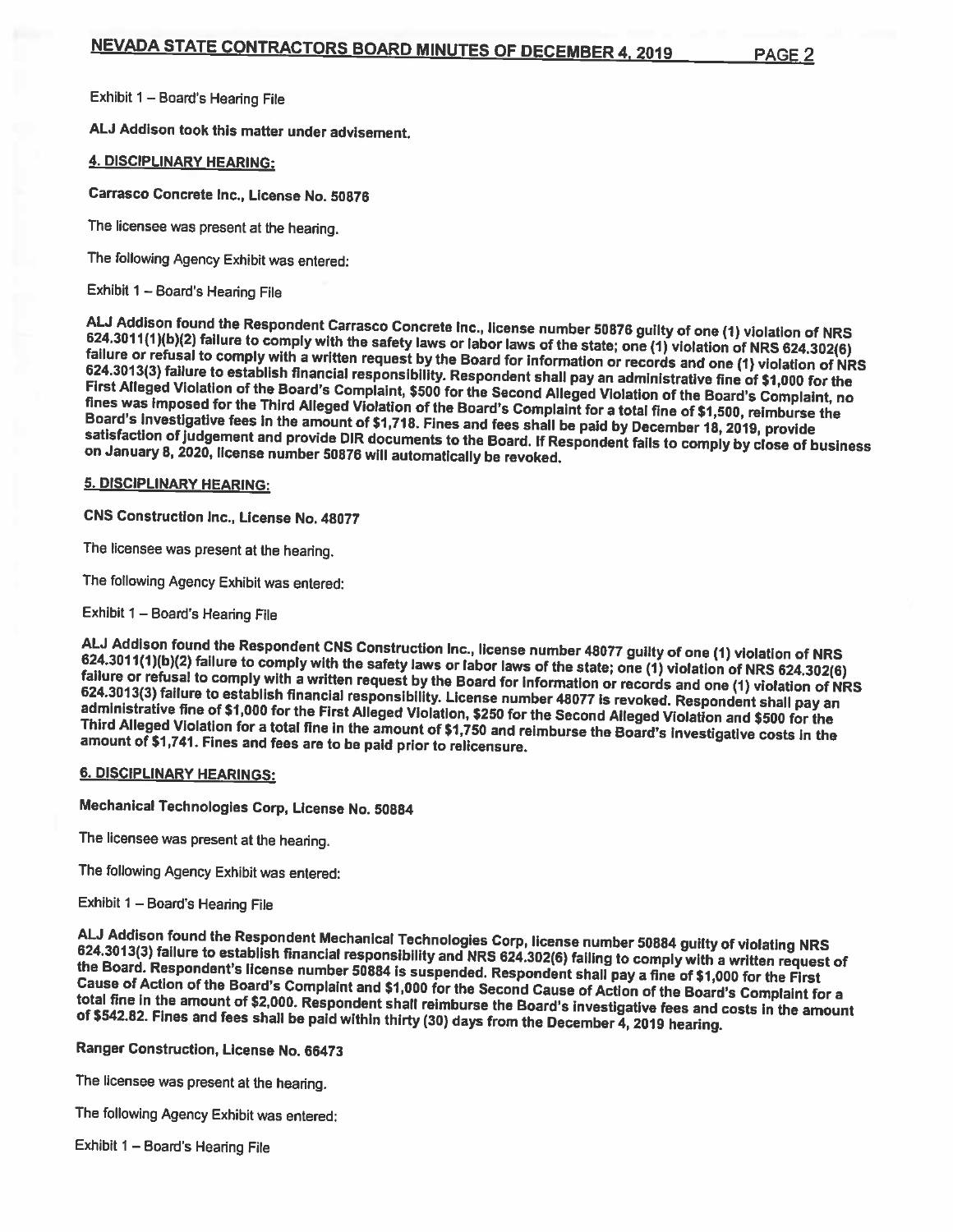Exhibit <sup>I</sup> — Board's Hearing File

AU Addison took this matter under advisement.

## 4. DISCIPLINARY HEARING:

Carrasco Concrete Inc., License No. 50876

The licensee was present at the hearing.

The following Agency Exhibit was entered:

Exhibit <sup>1</sup> — Board's Hearing File

ALJ Addison found the Respondent Carrasco Concrete Inc., license number 50876 guilty of one (1) violation of NRS 624.3011(1)(b)(2) failure to comply with the safety laws or labor laws of the state; one (1) violation of NRS Board's investigative fees in the amount of \$1,718. Fines and fees shall be paid by December 18, 2019, provide satisfaction of judgement and provide DIR documents to the Board. If Respondent fails to comply by close of business<br>on January 8, 2020, license number 50876 will automatically be revoked.

## 5. DISCIPLINARY HEARING:

CNS Construction Inc., License No. 48077

The licensee was present at the hearing.

The following Agency Exhibit was entered:

Exhibit <sup>1</sup> — Board's Hearing File

ALJ Addison found the Respondent CNS Construction Inc., license number 48077 guilty of one (1) violation of NRS 624.3011(1)(b)(2) failure to comply with the safety laws or labor laws of the state; one (1) violation of NRS

### 6. DISCIPLINARY HEARINGS:

Mechanical Technologies Corp, License No. <sup>50884</sup>

The licensee was present at the hearing.

The following Agency Exhibit was entered:

## Exhibit <sup>1</sup> — Board's Hearing File

ALJ Addison found the Respondent Mechanical Technologies Corp, license number 50884 guilty of violating NRS<br>624.3013(3) failure to establish financial responsibility and NRS 624.302(6) failing to comply with a written requ

Ranger Construction, License No. 66473

The licensee was present at the hearing.

The following Agency Exhibit was entered:

Exhibit <sup>1</sup> — Board's Hearing File